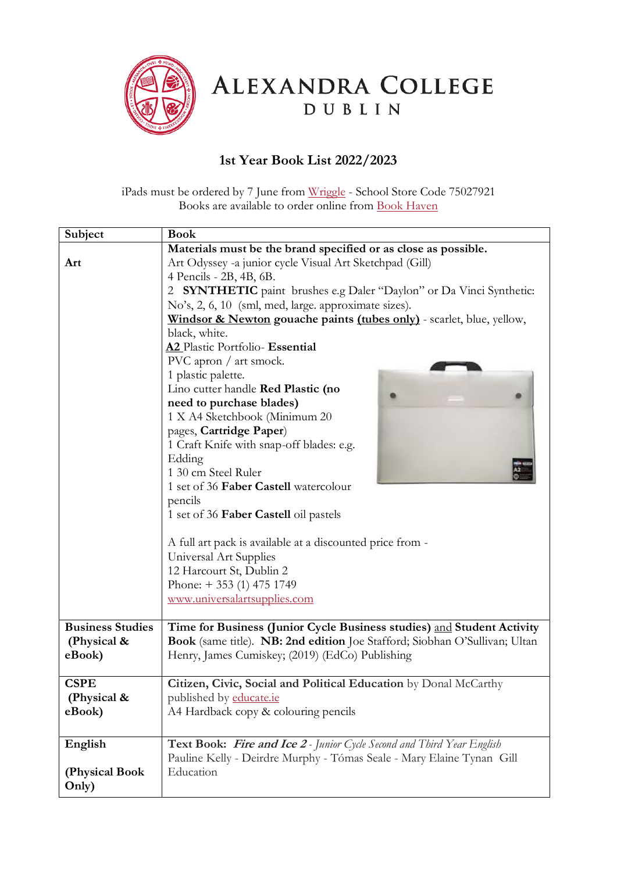

ALEXANDRA COLLEGE DUBLIN

## **1st Year Book List 2022/2023**

iPads must be ordered by 7 June from [Wriggle](https://www.wriggle.ie/onlinestorelogin) - School Store Code 75027921 Books are available to order online from [Book Haven](https://www.bookhaven.ie/booklists/view/index/?code=S4721y)

| Subject                 | <b>Book</b>                                                                |
|-------------------------|----------------------------------------------------------------------------|
|                         | Materials must be the brand specified or as close as possible.             |
| Art                     | Art Odyssey -a junior cycle Visual Art Sketchpad (Gill)                    |
|                         | 4 Pencils - 2B, 4B, 6B.                                                    |
|                         | 2 SYNTHETIC paint brushes e.g Daler "Daylon" or Da Vinci Synthetic:        |
|                         | No's, 2, 6, 10 (sml, med, large. approximate sizes).                       |
|                         | Windsor & Newton gouache paints (tubes only) - scarlet, blue, yellow,      |
|                         | black, white.                                                              |
|                         | A2 Plastic Portfolio- Essential                                            |
|                         | PVC apron / art smock.                                                     |
|                         | 1 plastic palette.                                                         |
|                         | Lino cutter handle Red Plastic (no                                         |
|                         | need to purchase blades)                                                   |
|                         | 1 X A4 Sketchbook (Minimum 20                                              |
|                         | pages, Cartridge Paper)                                                    |
|                         |                                                                            |
|                         | 1 Craft Knife with snap-off blades: e.g.                                   |
|                         | Edding                                                                     |
|                         | 1 30 cm Steel Ruler                                                        |
|                         | 1 set of 36 Faber Castell watercolour                                      |
|                         | pencils                                                                    |
|                         | 1 set of 36 Faber Castell oil pastels                                      |
|                         |                                                                            |
|                         | A full art pack is available at a discounted price from -                  |
|                         | Universal Art Supplies                                                     |
|                         | 12 Harcourt St, Dublin 2                                                   |
|                         | Phone: $+ 353$ (1) 475 1749                                                |
|                         | www.universalartsupplies.com                                               |
|                         |                                                                            |
| <b>Business Studies</b> | Time for Business (Junior Cycle Business studies) and Student Activity     |
| (Physical &             | Book (same title). NB: 2nd edition Joe Stafford; Siobhan O'Sullivan; Ultan |
| eBook)                  | Henry, James Cumiskey; (2019) (EdCo) Publishing                            |
| <b>CSPE</b>             | Citizen, Civic, Social and Political Education by Donal McCarthy           |
| (Physical &             | published by educate.ie                                                    |
| eBook)                  | A4 Hardback copy & colouring pencils                                       |
|                         |                                                                            |
| English                 | Text Book: Fire and Ice 2 - Junior Cycle Second and Third Year English     |
|                         | Pauline Kelly - Deirdre Murphy - Tómas Seale - Mary Elaine Tynan Gill      |
| (Physical Book          | Education                                                                  |
| Only)                   |                                                                            |
|                         |                                                                            |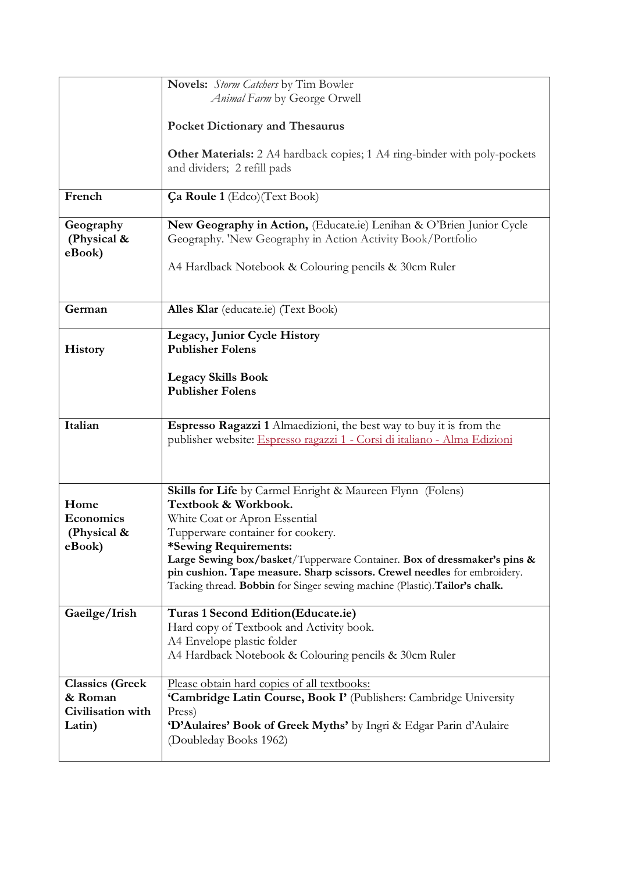|                        | Novels: Storm Catchers by Tim Bowler                                        |
|------------------------|-----------------------------------------------------------------------------|
|                        | Animal Farm by George Orwell                                                |
|                        |                                                                             |
|                        |                                                                             |
|                        | <b>Pocket Dictionary and Thesaurus</b>                                      |
|                        |                                                                             |
|                        | Other Materials: 2 A4 hardback copies; 1 A4 ring-binder with poly-pockets   |
|                        | and dividers; 2 refill pads                                                 |
|                        |                                                                             |
| French                 | Ça Roule 1 (Edco) (Text Book)                                               |
|                        |                                                                             |
| Geography              | New Geography in Action, (Educate.ie) Lenihan & O'Brien Junior Cycle        |
|                        |                                                                             |
| (Physical &            | Geography. 'New Geography in Action Activity Book/Portfolio                 |
| eBook)                 |                                                                             |
|                        | A4 Hardback Notebook & Colouring pencils & 30cm Ruler                       |
|                        |                                                                             |
|                        |                                                                             |
| German                 | Alles Klar (educate.ie) (Text Book)                                         |
|                        |                                                                             |
|                        | Legacy, Junior Cycle History                                                |
| <b>History</b>         | <b>Publisher Folens</b>                                                     |
|                        |                                                                             |
|                        |                                                                             |
|                        | <b>Legacy Skills Book</b>                                                   |
|                        | <b>Publisher Folens</b>                                                     |
|                        |                                                                             |
|                        |                                                                             |
|                        |                                                                             |
| Italian                | Espresso Ragazzi 1 Almaedizioni, the best way to buy it is from the         |
|                        | publisher website: Espresso ragazzi 1 - Corsi di italiano - Alma Edizioni   |
|                        |                                                                             |
|                        |                                                                             |
|                        |                                                                             |
|                        | Skills for Life by Carmel Enright & Maureen Flynn (Folens)                  |
| Home                   | Textbook & Workbook.                                                        |
| Economics              | White Coat or Apron Essential                                               |
| (Physical &            | Tupperware container for cookery.                                           |
| eBook)                 | *Sewing Requirements:                                                       |
|                        | Large Sewing box/basket/Tupperware Container. Box of dressmaker's pins &    |
|                        | pin cushion. Tape measure. Sharp scissors. Crewel needles for embroidery.   |
|                        | Tacking thread. Bobbin for Singer sewing machine (Plastic). Tailor's chalk. |
|                        |                                                                             |
| Gaeilge/Irish          | Turas 1 Second Edition(Educate.ie)                                          |
|                        | Hard copy of Textbook and Activity book.                                    |
|                        |                                                                             |
|                        | A4 Envelope plastic folder                                                  |
|                        | A4 Hardback Notebook & Colouring pencils & 30cm Ruler                       |
|                        |                                                                             |
| <b>Classics (Greek</b> | Please obtain hard copies of all textbooks:                                 |
| & Roman                | 'Cambridge Latin Course, Book I' (Publishers: Cambridge University          |
| Civilisation with      | Press)                                                                      |
| Latin)                 | 'D'Aulaires' Book of Greek Myths' by Ingri & Edgar Parin d'Aulaire          |
|                        | (Doubleday Books 1962)                                                      |